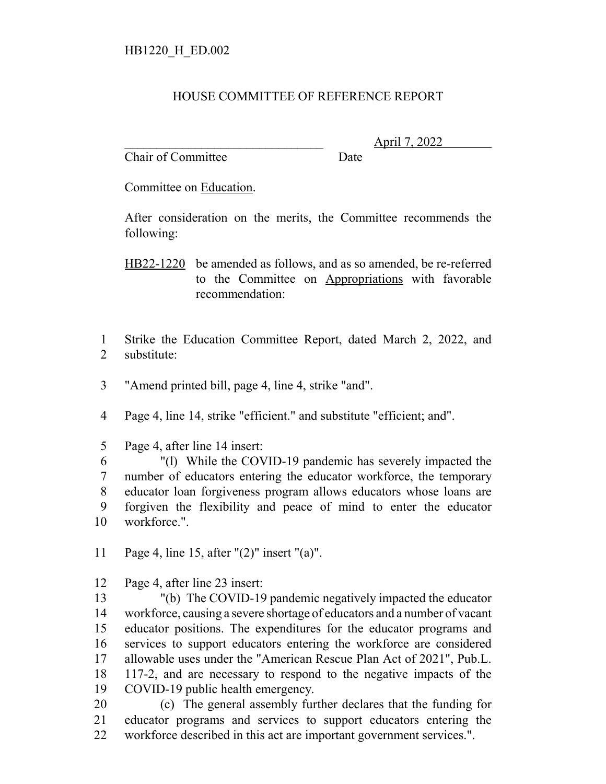## HOUSE COMMITTEE OF REFERENCE REPORT

Chair of Committee Date

\_\_\_\_\_\_\_\_\_\_\_\_\_\_\_\_\_\_\_\_\_\_\_\_\_\_\_\_\_\_\_ April 7, 2022

Committee on Education.

After consideration on the merits, the Committee recommends the following:

HB22-1220 be amended as follows, and as so amended, be re-referred to the Committee on Appropriations with favorable recommendation:

- Strike the Education Committee Report, dated March 2, 2022, and substitute:
- "Amend printed bill, page 4, line 4, strike "and".

Page 4, line 14, strike "efficient." and substitute "efficient; and".

Page 4, after line 14 insert:

 "(l) While the COVID-19 pandemic has severely impacted the number of educators entering the educator workforce, the temporary educator loan forgiveness program allows educators whose loans are forgiven the flexibility and peace of mind to enter the educator workforce.".

- Page 4, line 15, after "(2)" insert "(a)".
- Page 4, after line 23 insert:

 "(b) The COVID-19 pandemic negatively impacted the educator workforce, causing a severe shortage of educators and a number of vacant educator positions. The expenditures for the educator programs and services to support educators entering the workforce are considered allowable uses under the "American Rescue Plan Act of 2021", Pub.L. 117-2, and are necessary to respond to the negative impacts of the COVID-19 public health emergency.

 (c) The general assembly further declares that the funding for educator programs and services to support educators entering the workforce described in this act are important government services.".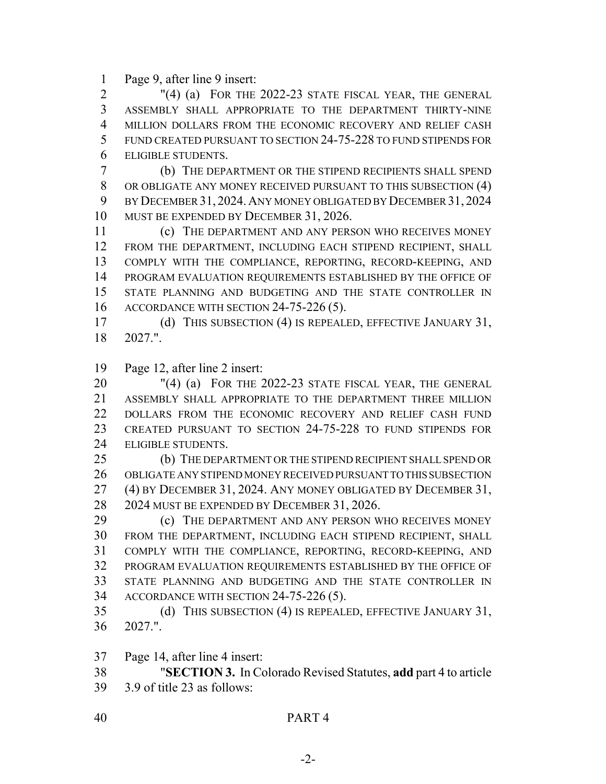Page 9, after line 9 insert:

 "(4) (a) FOR THE 2022-23 STATE FISCAL YEAR, THE GENERAL ASSEMBLY SHALL APPROPRIATE TO THE DEPARTMENT THIRTY-NINE MILLION DOLLARS FROM THE ECONOMIC RECOVERY AND RELIEF CASH FUND CREATED PURSUANT TO SECTION 24-75-228 TO FUND STIPENDS FOR ELIGIBLE STUDENTS.

 (b) THE DEPARTMENT OR THE STIPEND RECIPIENTS SHALL SPEND OR OBLIGATE ANY MONEY RECEIVED PURSUANT TO THIS SUBSECTION (4) BY DECEMBER 31, 2024.ANY MONEY OBLIGATED BY DECEMBER 31, 2024 MUST BE EXPENDED BY DECEMBER 31, 2026.

 (c) THE DEPARTMENT AND ANY PERSON WHO RECEIVES MONEY FROM THE DEPARTMENT, INCLUDING EACH STIPEND RECIPIENT, SHALL COMPLY WITH THE COMPLIANCE, REPORTING, RECORD-KEEPING, AND PROGRAM EVALUATION REQUIREMENTS ESTABLISHED BY THE OFFICE OF STATE PLANNING AND BUDGETING AND THE STATE CONTROLLER IN ACCORDANCE WITH SECTION 24-75-226 (5).

 (d) THIS SUBSECTION (4) IS REPEALED, EFFECTIVE JANUARY 31, 2027.".

Page 12, after line 2 insert:

 "(4) (a) FOR THE 2022-23 STATE FISCAL YEAR, THE GENERAL ASSEMBLY SHALL APPROPRIATE TO THE DEPARTMENT THREE MILLION DOLLARS FROM THE ECONOMIC RECOVERY AND RELIEF CASH FUND CREATED PURSUANT TO SECTION 24-75-228 TO FUND STIPENDS FOR ELIGIBLE STUDENTS.

 (b) THE DEPARTMENT OR THE STIPEND RECIPIENT SHALL SPEND OR OBLIGATE ANY STIPEND MONEY RECEIVED PURSUANT TO THIS SUBSECTION (4) BY DECEMBER 31, 2024. ANY MONEY OBLIGATED BY DECEMBER 31, 2024 MUST BE EXPENDED BY DECEMBER 31, 2026.

 (c) THE DEPARTMENT AND ANY PERSON WHO RECEIVES MONEY FROM THE DEPARTMENT, INCLUDING EACH STIPEND RECIPIENT, SHALL COMPLY WITH THE COMPLIANCE, REPORTING, RECORD-KEEPING, AND PROGRAM EVALUATION REQUIREMENTS ESTABLISHED BY THE OFFICE OF STATE PLANNING AND BUDGETING AND THE STATE CONTROLLER IN ACCORDANCE WITH SECTION 24-75-226 (5).

 (d) THIS SUBSECTION (4) IS REPEALED, EFFECTIVE JANUARY 31, 2027.".

Page 14, after line 4 insert:

 "**SECTION 3.** In Colorado Revised Statutes, **add** part 4 to article 3.9 of title 23 as follows: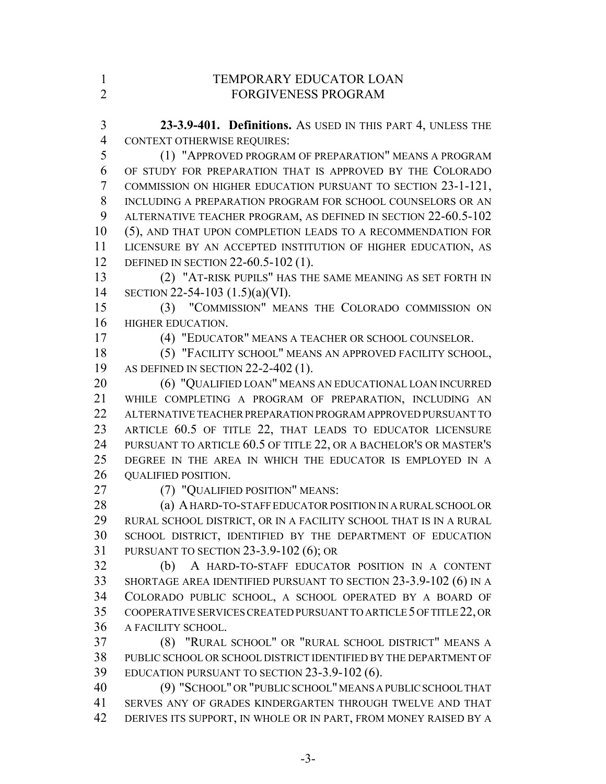| $\mathbf{1}$   | TEMPORARY EDUCATOR LOAN                                            |
|----------------|--------------------------------------------------------------------|
| $\overline{2}$ | <b>FORGIVENESS PROGRAM</b>                                         |
|                |                                                                    |
| 3              | 23-3.9-401. Definitions. As USED IN THIS PART 4, UNLESS THE        |
| $\overline{4}$ | <b>CONTEXT OTHERWISE REQUIRES:</b>                                 |
| 5              | (1) "APPROVED PROGRAM OF PREPARATION" MEANS A PROGRAM              |
| 6              | OF STUDY FOR PREPARATION THAT IS APPROVED BY THE COLORADO          |
| 7              | COMMISSION ON HIGHER EDUCATION PURSUANT TO SECTION 23-1-121,       |
| 8              | INCLUDING A PREPARATION PROGRAM FOR SCHOOL COUNSELORS OR AN        |
| 9              | ALTERNATIVE TEACHER PROGRAM, AS DEFINED IN SECTION 22-60.5-102     |
| 10             | (5), AND THAT UPON COMPLETION LEADS TO A RECOMMENDATION FOR        |
| 11             | LICENSURE BY AN ACCEPTED INSTITUTION OF HIGHER EDUCATION, AS       |
| 12             | DEFINED IN SECTION 22-60.5-102 (1).                                |
| 13             | (2) "AT-RISK PUPILS" HAS THE SAME MEANING AS SET FORTH IN          |
| 14             | SECTION 22-54-103 $(1.5)(a)(VI)$ .                                 |
| 15             | (3) "COMMISSION" MEANS THE COLORADO COMMISSION ON                  |
| 16             | HIGHER EDUCATION.                                                  |
| 17             | (4) "EDUCATOR" MEANS A TEACHER OR SCHOOL COUNSELOR.                |
| 18             | (5) "FACILITY SCHOOL" MEANS AN APPROVED FACILITY SCHOOL,           |
| 19             | AS DEFINED IN SECTION $22-2-402$ (1).                              |
| 20             | (6) "QUALIFIED LOAN" MEANS AN EDUCATIONAL LOAN INCURRED            |
| 21             | WHILE COMPLETING A PROGRAM OF PREPARATION, INCLUDING AN            |
| 22             | ALTERNATIVE TEACHER PREPARATION PROGRAM APPROVED PURSUANT TO       |
| 23             | ARTICLE 60.5 OF TITLE 22, THAT LEADS TO EDUCATOR LICENSURE         |
| 24             | PURSUANT TO ARTICLE 60.5 OF TITLE 22, OR A BACHELOR'S OR MASTER'S  |
| 25             | DEGREE IN THE AREA IN WHICH THE EDUCATOR IS EMPLOYED IN A          |
| 26             | <b>QUALIFIED POSITION.</b>                                         |
| 27             | (7) "QUALIFIED POSITION" MEANS:                                    |
| 28             | (a) A HARD-TO-STAFF EDUCATOR POSITION IN A RURAL SCHOOL OR         |
| 29             | RURAL SCHOOL DISTRICT, OR IN A FACILITY SCHOOL THAT IS IN A RURAL  |
| 30             | SCHOOL DISTRICT, IDENTIFIED BY THE DEPARTMENT OF EDUCATION         |
| 31             | PURSUANT TO SECTION $23-3.9-102$ (6); OR                           |
| 32             | A HARD-TO-STAFF EDUCATOR POSITION IN A CONTENT<br>(b)              |
| 33             | SHORTAGE AREA IDENTIFIED PURSUANT TO SECTION 23-3.9-102 (6) IN A   |
| 34             | COLORADO PUBLIC SCHOOL, A SCHOOL OPERATED BY A BOARD OF            |
| 35             | COOPERATIVE SERVICES CREATED PURSUANT TO ARTICLE 5 OF TITLE 22, OR |
| 36             | A FACILITY SCHOOL.                                                 |
| 37             | (8) "RURAL SCHOOL" OR "RURAL SCHOOL DISTRICT" MEANS A              |
| 38             | PUBLIC SCHOOL OR SCHOOL DISTRICT IDENTIFIED BY THE DEPARTMENT OF   |
| 39             | EDUCATION PURSUANT TO SECTION $23-3.9-102(6)$ .                    |
| 40             | (9) "SCHOOL" OR "PUBLIC SCHOOL" MEANS A PUBLIC SCHOOL THAT         |
| 41             | SERVES ANY OF GRADES KINDERGARTEN THROUGH TWELVE AND THAT          |
| 42             | DERIVES ITS SUPPORT, IN WHOLE OR IN PART, FROM MONEY RAISED BY A   |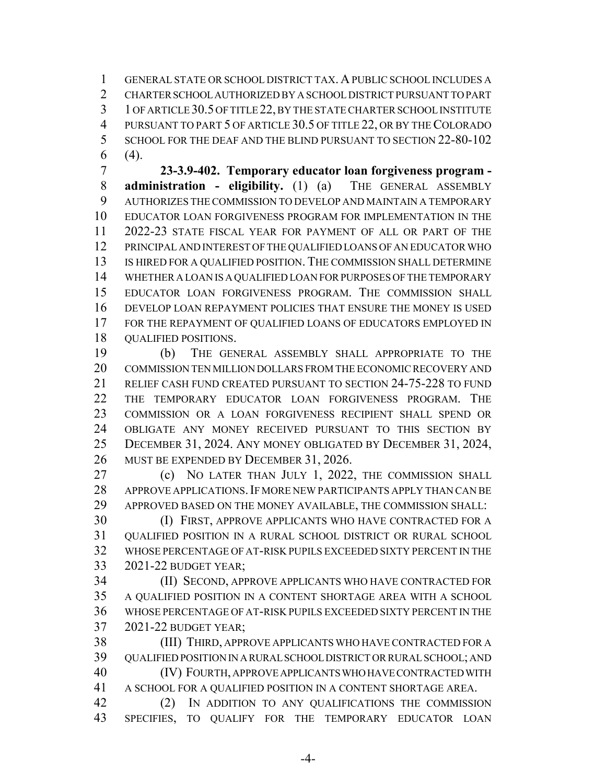GENERAL STATE OR SCHOOL DISTRICT TAX. A PUBLIC SCHOOL INCLUDES A CHARTER SCHOOL AUTHORIZED BY A SCHOOL DISTRICT PURSUANT TO PART 1 OF ARTICLE 30.5 OF TITLE 22, BY THE STATE CHARTER SCHOOL INSTITUTE 4 PURSUANT TO PART 5 OF ARTICLE 30.5 OF TITLE 22, OR BY THE COLORADO SCHOOL FOR THE DEAF AND THE BLIND PURSUANT TO SECTION 22-80-102 (4).

 **23-3.9-402. Temporary educator loan forgiveness program - administration - eligibility.** (1) (a) THE GENERAL ASSEMBLY AUTHORIZES THE COMMISSION TO DEVELOP AND MAINTAIN A TEMPORARY EDUCATOR LOAN FORGIVENESS PROGRAM FOR IMPLEMENTATION IN THE 2022-23 STATE FISCAL YEAR FOR PAYMENT OF ALL OR PART OF THE PRINCIPAL AND INTEREST OF THE QUALIFIED LOANS OF AN EDUCATOR WHO IS HIRED FOR A QUALIFIED POSITION. THE COMMISSION SHALL DETERMINE WHETHER A LOAN IS A QUALIFIED LOAN FOR PURPOSES OF THE TEMPORARY EDUCATOR LOAN FORGIVENESS PROGRAM. THE COMMISSION SHALL DEVELOP LOAN REPAYMENT POLICIES THAT ENSURE THE MONEY IS USED FOR THE REPAYMENT OF QUALIFIED LOANS OF EDUCATORS EMPLOYED IN QUALIFIED POSITIONS.

 (b) THE GENERAL ASSEMBLY SHALL APPROPRIATE TO THE COMMISSION TEN MILLION DOLLARS FROM THE ECONOMIC RECOVERY AND RELIEF CASH FUND CREATED PURSUANT TO SECTION 24-75-228 TO FUND THE TEMPORARY EDUCATOR LOAN FORGIVENESS PROGRAM. THE COMMISSION OR A LOAN FORGIVENESS RECIPIENT SHALL SPEND OR OBLIGATE ANY MONEY RECEIVED PURSUANT TO THIS SECTION BY DECEMBER 31, 2024. ANY MONEY OBLIGATED BY DECEMBER 31, 2024, MUST BE EXPENDED BY DECEMBER 31, 2026.

 (c) NO LATER THAN JULY 1, 2022, THE COMMISSION SHALL 28 APPROVE APPLICATIONS. IF MORE NEW PARTICIPANTS APPLY THAN CAN BE APPROVED BASED ON THE MONEY AVAILABLE, THE COMMISSION SHALL:

 (I) FIRST, APPROVE APPLICANTS WHO HAVE CONTRACTED FOR A QUALIFIED POSITION IN A RURAL SCHOOL DISTRICT OR RURAL SCHOOL WHOSE PERCENTAGE OF AT-RISK PUPILS EXCEEDED SIXTY PERCENT IN THE 2021-22 BUDGET YEAR;

 (II) SECOND, APPROVE APPLICANTS WHO HAVE CONTRACTED FOR A QUALIFIED POSITION IN A CONTENT SHORTAGE AREA WITH A SCHOOL WHOSE PERCENTAGE OF AT-RISK PUPILS EXCEEDED SIXTY PERCENT IN THE 2021-22 BUDGET YEAR;

 (III) THIRD, APPROVE APPLICANTS WHO HAVE CONTRACTED FOR A QUALIFIED POSITION IN A RURAL SCHOOL DISTRICT OR RURAL SCHOOL; AND (IV) FOURTH, APPROVE APPLICANTS WHO HAVE CONTRACTED WITH A SCHOOL FOR A QUALIFIED POSITION IN A CONTENT SHORTAGE AREA. (2) IN ADDITION TO ANY QUALIFICATIONS THE COMMISSION

SPECIFIES, TO QUALIFY FOR THE TEMPORARY EDUCATOR LOAN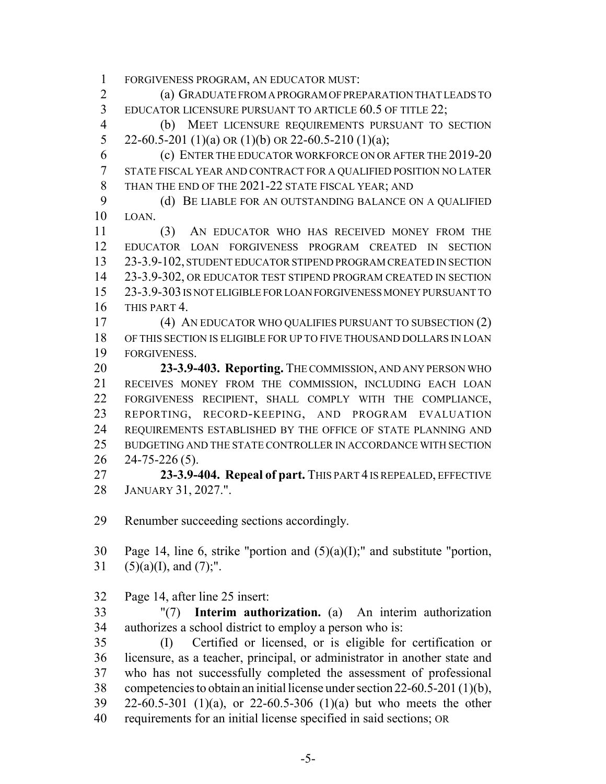FORGIVENESS PROGRAM, AN EDUCATOR MUST:

 (a) GRADUATE FROM A PROGRAM OF PREPARATION THAT LEADS TO EDUCATOR LICENSURE PURSUANT TO ARTICLE 60.5 OF TITLE 22;

 (b) MEET LICENSURE REQUIREMENTS PURSUANT TO SECTION 5 22-60.5-201 (1)(a) OR (1)(b) OR 22-60.5-210 (1)(a);

 (c) ENTER THE EDUCATOR WORKFORCE ON OR AFTER THE 2019-20 STATE FISCAL YEAR AND CONTRACT FOR A QUALIFIED POSITION NO LATER THAN THE END OF THE 2021-22 STATE FISCAL YEAR; AND

9 (d) BE LIABLE FOR AN OUTSTANDING BALANCE ON A QUALIFIED LOAN.

 (3) AN EDUCATOR WHO HAS RECEIVED MONEY FROM THE EDUCATOR LOAN FORGIVENESS PROGRAM CREATED IN SECTION 23-3.9-102, STUDENT EDUCATOR STIPEND PROGRAM CREATED IN SECTION 23-3.9-302, OR EDUCATOR TEST STIPEND PROGRAM CREATED IN SECTION 23-3.9-303 IS NOT ELIGIBLE FOR LOAN FORGIVENESS MONEY PURSUANT TO THIS PART 4.

 (4) AN EDUCATOR WHO QUALIFIES PURSUANT TO SUBSECTION (2) OF THIS SECTION IS ELIGIBLE FOR UP TO FIVE THOUSAND DOLLARS IN LOAN FORGIVENESS.

 **23-3.9-403. Reporting.** THE COMMISSION, AND ANY PERSON WHO RECEIVES MONEY FROM THE COMMISSION, INCLUDING EACH LOAN FORGIVENESS RECIPIENT, SHALL COMPLY WITH THE COMPLIANCE, REPORTING, RECORD-KEEPING, AND PROGRAM EVALUATION REQUIREMENTS ESTABLISHED BY THE OFFICE OF STATE PLANNING AND BUDGETING AND THE STATE CONTROLLER IN ACCORDANCE WITH SECTION 24-75-226 (5).

 **23-3.9-404. Repeal of part.** THIS PART 4 IS REPEALED, EFFECTIVE JANUARY 31, 2027.".

Renumber succeeding sections accordingly.

30 Page 14, line 6, strike "portion and  $(5)(a)(I)$ ;" and substitute "portion, 31 (5)(a)(I), and (7);".

Page 14, after line 25 insert:

 "(7) **Interim authorization.** (a) An interim authorization authorizes a school district to employ a person who is:

 (I) Certified or licensed, or is eligible for certification or licensure, as a teacher, principal, or administrator in another state and who has not successfully completed the assessment of professional competencies to obtain an initial license under section 22-60.5-201 (1)(b), 22-60.5-301 (1)(a), or 22-60.5-306 (1)(a) but who meets the other requirements for an initial license specified in said sections; OR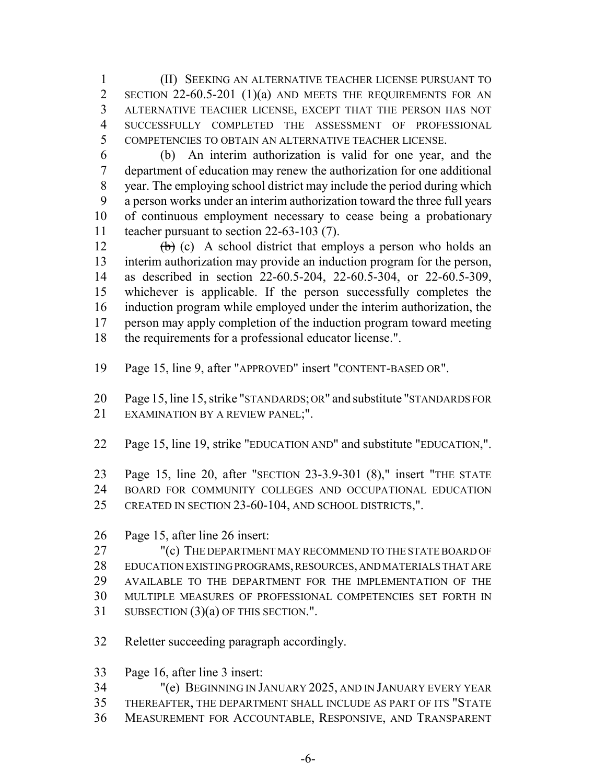(II) SEEKING AN ALTERNATIVE TEACHER LICENSE PURSUANT TO 2 SECTION 22-60.5-201 (1)(a) AND MEETS THE REQUIREMENTS FOR AN ALTERNATIVE TEACHER LICENSE, EXCEPT THAT THE PERSON HAS NOT SUCCESSFULLY COMPLETED THE ASSESSMENT OF PROFESSIONAL COMPETENCIES TO OBTAIN AN ALTERNATIVE TEACHER LICENSE.

 (b) An interim authorization is valid for one year, and the department of education may renew the authorization for one additional year. The employing school district may include the period during which a person works under an interim authorization toward the three full years of continuous employment necessary to cease being a probationary teacher pursuant to section 22-63-103 (7).

 $\left(\frac{b}{c}\right)$  (c) A school district that employs a person who holds an interim authorization may provide an induction program for the person, as described in section 22-60.5-204, 22-60.5-304, or 22-60.5-309, whichever is applicable. If the person successfully completes the induction program while employed under the interim authorization, the person may apply completion of the induction program toward meeting the requirements for a professional educator license.".

Page 15, line 9, after "APPROVED" insert "CONTENT-BASED OR".

 Page 15, line 15, strike "STANDARDS; OR" and substitute "STANDARDS FOR 21 EXAMINATION BY A REVIEW PANEL;".

- Page 15, line 19, strike "EDUCATION AND" and substitute "EDUCATION,".
- Page 15, line 20, after "SECTION 23-3.9-301 (8)," insert "THE STATE BOARD FOR COMMUNITY COLLEGES AND OCCUPATIONAL EDUCATION
- CREATED IN SECTION 23-60-104, AND SCHOOL DISTRICTS,".
- Page 15, after line 26 insert:

 "(c) THE DEPARTMENT MAY RECOMMEND TO THE STATE BOARD OF EDUCATION EXISTING PROGRAMS, RESOURCES, AND MATERIALS THAT ARE AVAILABLE TO THE DEPARTMENT FOR THE IMPLEMENTATION OF THE MULTIPLE MEASURES OF PROFESSIONAL COMPETENCIES SET FORTH IN 31 SUBSECTION (3)(a) OF THIS SECTION.".

- Reletter succeeding paragraph accordingly.
- Page 16, after line 3 insert:
- "(e) BEGINNING IN JANUARY 2025, AND IN JANUARY EVERY YEAR
- THEREAFTER, THE DEPARTMENT SHALL INCLUDE AS PART OF ITS "STATE
- MEASUREMENT FOR ACCOUNTABLE, RESPONSIVE, AND TRANSPARENT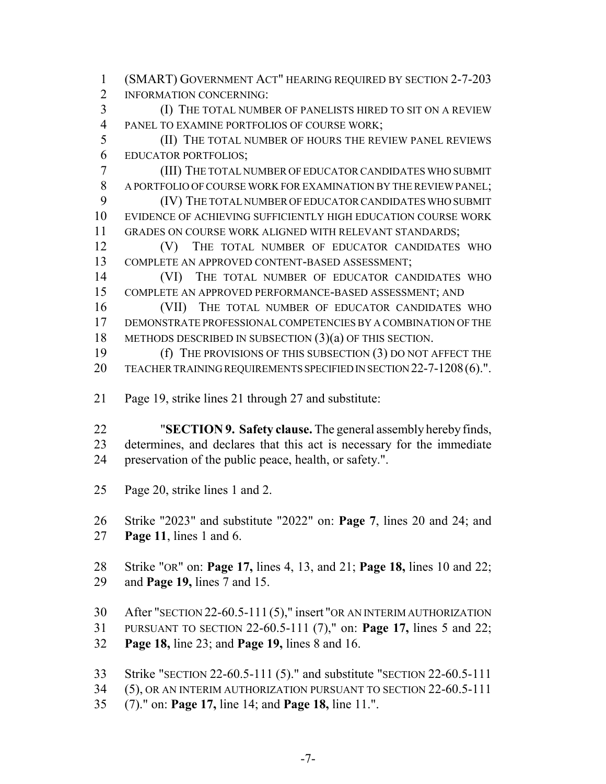- (SMART) GOVERNMENT ACT" HEARING REQUIRED BY SECTION 2-7-203 2 INFORMATION CONCERNING: (I) THE TOTAL NUMBER OF PANELISTS HIRED TO SIT ON A REVIEW PANEL TO EXAMINE PORTFOLIOS OF COURSE WORK; (II) THE TOTAL NUMBER OF HOURS THE REVIEW PANEL REVIEWS EDUCATOR PORTFOLIOS; (III) THE TOTAL NUMBER OF EDUCATOR CANDIDATES WHO SUBMIT A PORTFOLIO OF COURSE WORK FOR EXAMINATION BY THE REVIEW PANEL; (IV) THE TOTAL NUMBER OF EDUCATOR CANDIDATES WHO SUBMIT EVIDENCE OF ACHIEVING SUFFICIENTLY HIGH EDUCATION COURSE WORK GRADES ON COURSE WORK ALIGNED WITH RELEVANT STANDARDS; 12 (V) THE TOTAL NUMBER OF EDUCATOR CANDIDATES WHO COMPLETE AN APPROVED CONTENT-BASED ASSESSMENT; 14 (VI) THE TOTAL NUMBER OF EDUCATOR CANDIDATES WHO COMPLETE AN APPROVED PERFORMANCE-BASED ASSESSMENT; AND 16 (VII) THE TOTAL NUMBER OF EDUCATOR CANDIDATES WHO DEMONSTRATE PROFESSIONAL COMPETENCIES BY A COMBINATION OF THE 18 METHODS DESCRIBED IN SUBSECTION (3)(a) OF THIS SECTION. (f) THE PROVISIONS OF THIS SUBSECTION (3) DO NOT AFFECT THE 20 TEACHER TRAINING REQUIREMENTS SPECIFIED IN SECTION 22-7-1208 (6).". Page 19, strike lines 21 through 27 and substitute: "**SECTION 9. Safety clause.** The general assembly hereby finds, determines, and declares that this act is necessary for the immediate preservation of the public peace, health, or safety.".
- Page 20, strike lines 1 and 2.

 Strike "2023" and substitute "2022" on: **Page 7**, lines 20 and 24; and **Page 11**, lines 1 and 6.

 Strike "OR" on: **Page 17,** lines 4, 13, and 21; **Page 18,** lines 10 and 22; and **Page 19,** lines 7 and 15.

 After "SECTION 22-60.5-111 (5)," insert "OR AN INTERIM AUTHORIZATION PURSUANT TO SECTION 22-60.5-111 (7)," on: **Page 17,** lines 5 and 22;

**Page 18,** line 23; and **Page 19,** lines 8 and 16.

Strike "SECTION 22-60.5-111 (5)." and substitute "SECTION 22-60.5-111

(5), OR AN INTERIM AUTHORIZATION PURSUANT TO SECTION 22-60.5-111

(7)." on: **Page 17,** line 14; and **Page 18,** line 11.".